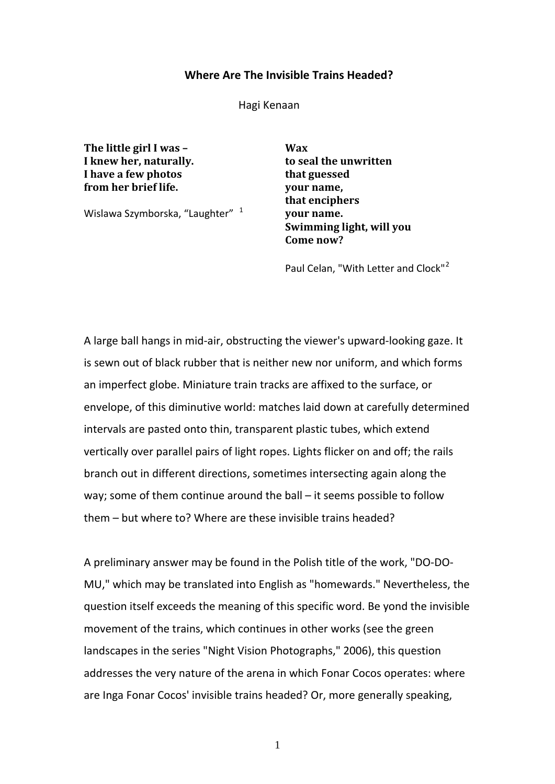## **Where Are The Invisible Trains Headed?**

Hagi Kenaan

**The little girl I was – Wax I knew her, naturally. to seal the unwritten I have a few photos that guessed from her brief life. your name,**

Wislawa Szymborska, "Laughter" <sup>[1](#page-8-0)</sup>

**that enciphers your name. Swimming light, will you Come now?**

Paul Celan, "With Letter and Clock"<sup>[2](#page-8-1)</sup>

A large ball hangs in mid-air, obstructing the viewer's upward-looking gaze. It is sewn out of black rubber that is neither new nor uniform, and which forms an imperfect globe. Miniature train tracks are affixed to the surface, or envelope, of this diminutive world: matches laid down at carefully determined intervals are pasted onto thin, transparent plastic tubes, which extend vertically over parallel pairs of light ropes. Lights flicker on and off; the rails branch out in different directions, sometimes intersecting again along the way; some of them continue around the ball – it seems possible to follow them – but where to? Where are these invisible trains headed?

A preliminary answer may be found in the Polish title of the work, "DO-DO-MU," which may be translated into English as "homewards." Nevertheless, the question itself exceeds the meaning of this specific word. Be yond the invisible movement of the trains, which continues in other works (see the green landscapes in the series "Night Vision Photographs," 2006), this question addresses the very nature of the arena in which Fonar Cocos operates: where are Inga Fonar Cocos' invisible trains headed? Or, more generally speaking,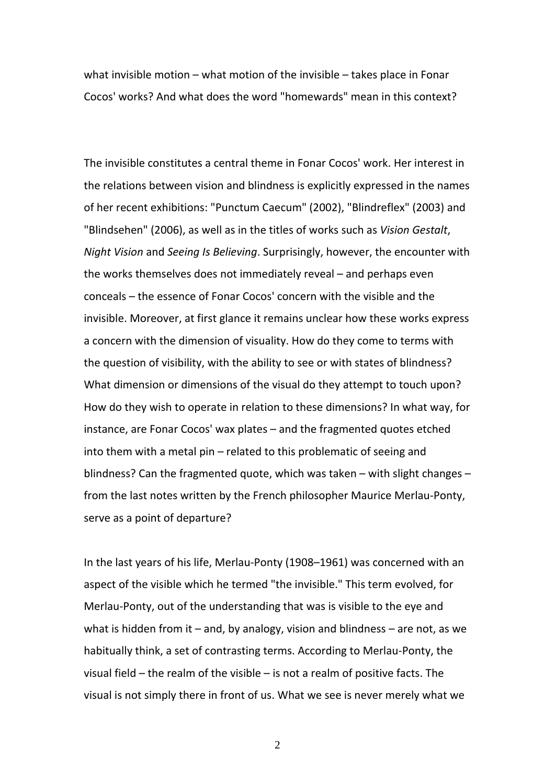what invisible motion – what motion of the invisible – takes place in Fonar Cocos' works? And what does the word "homewards" mean in this context?

The invisible constitutes a central theme in Fonar Cocos' work. Her interest in the relations between vision and blindness is explicitly expressed in the names of her recent exhibitions: "Punctum Caecum" (2002), "Blindreflex" (2003) and "Blindsehen" (2006), as well as in the titles of works such as *Vision Gestalt*, *Night Vision* and *Seeing Is Believing*. Surprisingly, however, the encounter with the works themselves does not immediately reveal – and perhaps even conceals – the essence of Fonar Cocos' concern with the visible and the invisible. Moreover, at first glance it remains unclear how these works express a concern with the dimension of visuality. How do they come to terms with the question of visibility, with the ability to see or with states of blindness? What dimension or dimensions of the visual do they attempt to touch upon? How do they wish to operate in relation to these dimensions? In what way, for instance, are Fonar Cocos' wax plates – and the fragmented quotes etched into them with a metal pin – related to this problematic of seeing and blindness? Can the fragmented quote, which was taken – with slight changes – from the last notes written by the French philosopher Maurice Merlau-Ponty, serve as a point of departure?

In the last years of his life, Merlau-Ponty (1908–1961) was concerned with an aspect of the visible which he termed "the invisible." This term evolved, for Merlau-Ponty, out of the understanding that was is visible to the eye and what is hidden from it – and, by analogy, vision and blindness – are not, as we habitually think, a set of contrasting terms. According to Merlau-Ponty, the visual field – the realm of the visible – is not a realm of positive facts. The visual is not simply there in front of us. What we see is never merely what we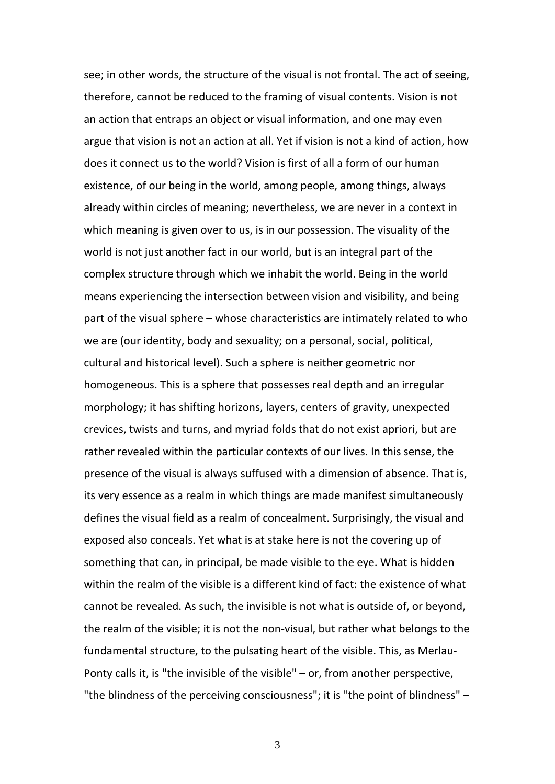see; in other words, the structure of the visual is not frontal. The act of seeing, therefore, cannot be reduced to the framing of visual contents. Vision is not an action that entraps an object or visual information, and one may even argue that vision is not an action at all. Yet if vision is not a kind of action, how does it connect us to the world? Vision is first of all a form of our human existence, of our being in the world, among people, among things, always already within circles of meaning; nevertheless, we are never in a context in which meaning is given over to us, is in our possession. The visuality of the world is not just another fact in our world, but is an integral part of the complex structure through which we inhabit the world. Being in the world means experiencing the intersection between vision and visibility, and being part of the visual sphere – whose characteristics are intimately related to who we are (our identity, body and sexuality; on a personal, social, political, cultural and historical level). Such a sphere is neither geometric nor homogeneous. This is a sphere that possesses real depth and an irregular morphology; it has shifting horizons, layers, centers of gravity, unexpected crevices, twists and turns, and myriad folds that do not exist apriori, but are rather revealed within the particular contexts of our lives. In this sense, the presence of the visual is always suffused with a dimension of absence. That is, its very essence as a realm in which things are made manifest simultaneously defines the visual field as a realm of concealment. Surprisingly, the visual and exposed also conceals. Yet what is at stake here is not the covering up of something that can, in principal, be made visible to the eye. What is hidden within the realm of the visible is a different kind of fact: the existence of what cannot be revealed. As such, the invisible is not what is outside of, or beyond, the realm of the visible; it is not the non-visual, but rather what belongs to the fundamental structure, to the pulsating heart of the visible. This, as Merlau-Ponty calls it, is "the invisible of the visible" – or, from another perspective, "the blindness of the perceiving consciousness"; it is "the point of blindness" –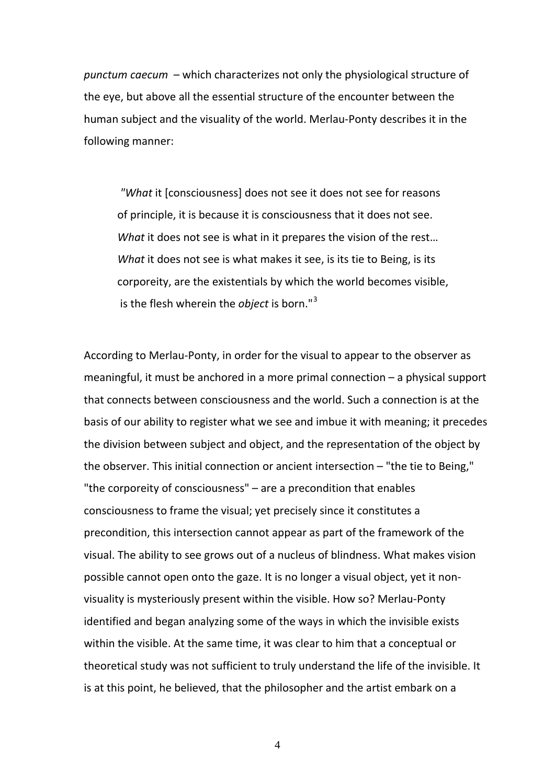*punctum caecum* – which characterizes not only the physiological structure of the eye, but above all the essential structure of the encounter between the human subject and the visuality of the world. Merlau-Ponty describes it in the following manner:

*"What* it [consciousness] does not see it does not see for reasons of principle, it is because it is consciousness that it does not see. *What* it does not see is what in it prepares the vision of the rest… *What* it does not see is what makes it see, is its tie to Being, is its corporeity, are the existentials by which the world becomes visible, is the flesh wherein the *object* is born."[3](#page-8-2)

According to Merlau-Ponty, in order for the visual to appear to the observer as meaningful, it must be anchored in a more primal connection – a physical support that connects between consciousness and the world. Such a connection is at the basis of our ability to register what we see and imbue it with meaning; it precedes the division between subject and object, and the representation of the object by the observer. This initial connection or ancient intersection – "the tie to Being," "the corporeity of consciousness" – are a precondition that enables consciousness to frame the visual; yet precisely since it constitutes a precondition, this intersection cannot appear as part of the framework of the visual. The ability to see grows out of a nucleus of blindness. What makes vision possible cannot open onto the gaze. It is no longer a visual object, yet it nonvisuality is mysteriously present within the visible. How so? Merlau-Ponty identified and began analyzing some of the ways in which the invisible exists within the visible. At the same time, it was clear to him that a conceptual or theoretical study was not sufficient to truly understand the life of the invisible. It is at this point, he believed, that the philosopher and the artist embark on a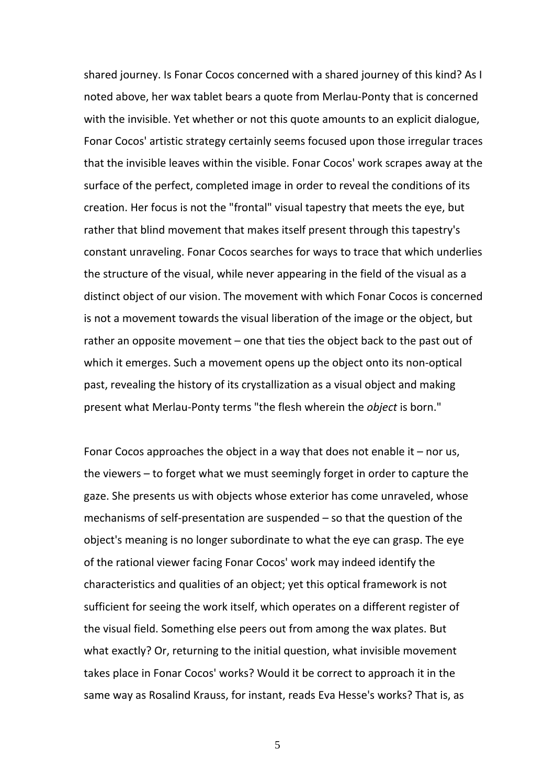shared journey. Is Fonar Cocos concerned with a shared journey of this kind? As I noted above, her wax tablet bears a quote from Merlau-Ponty that is concerned with the invisible. Yet whether or not this quote amounts to an explicit dialogue, Fonar Cocos' artistic strategy certainly seems focused upon those irregular traces that the invisible leaves within the visible. Fonar Cocos' work scrapes away at the surface of the perfect, completed image in order to reveal the conditions of its creation. Her focus is not the "frontal" visual tapestry that meets the eye, but rather that blind movement that makes itself present through this tapestry's constant unraveling. Fonar Cocos searches for ways to trace that which underlies the structure of the visual, while never appearing in the field of the visual as a distinct object of our vision. The movement with which Fonar Cocos is concerned is not a movement towards the visual liberation of the image or the object, but rather an opposite movement – one that ties the object back to the past out of which it emerges. Such a movement opens up the object onto its non-optical past, revealing the history of its crystallization as a visual object and making present what Merlau-Ponty terms "the flesh wherein the *object* is born."

Fonar Cocos approaches the object in a way that does not enable it – nor us, the viewers – to forget what we must seemingly forget in order to capture the gaze. She presents us with objects whose exterior has come unraveled, whose mechanisms of self-presentation are suspended – so that the question of the object's meaning is no longer subordinate to what the eye can grasp. The eye of the rational viewer facing Fonar Cocos' work may indeed identify the characteristics and qualities of an object; yet this optical framework is not sufficient for seeing the work itself, which operates on a different register of the visual field. Something else peers out from among the wax plates. But what exactly? Or, returning to the initial question, what invisible movement takes place in Fonar Cocos' works? Would it be correct to approach it in the same way as Rosalind Krauss, for instant, reads Eva Hesse's works? That is, as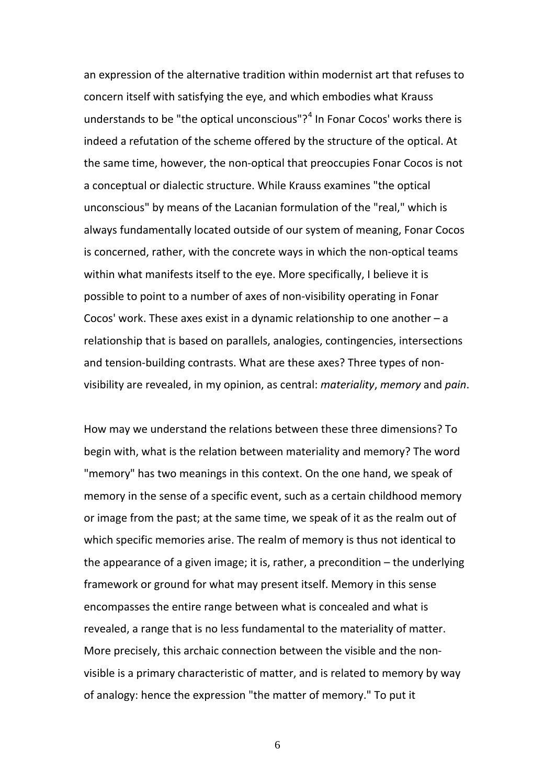an expression of the alternative tradition within modernist art that refuses to concern itself with satisfying the eye, and which embodies what Krauss understands to be "the optical unconscious"? $4$  In Fonar Cocos' works there is indeed a refutation of the scheme offered by the structure of the optical. At the same time, however, the non-optical that preoccupies Fonar Cocos is not a conceptual or dialectic structure. While Krauss examines "the optical unconscious" by means of the Lacanian formulation of the "real," which is always fundamentally located outside of our system of meaning, Fonar Cocos is concerned, rather, with the concrete ways in which the non-optical teams within what manifests itself to the eye. More specifically, I believe it is possible to point to a number of axes of non-visibility operating in Fonar Cocos' work. These axes exist in a dynamic relationship to one another – a relationship that is based on parallels, analogies, contingencies, intersections and tension-building contrasts. What are these axes? Three types of nonvisibility are revealed, in my opinion, as central: *materiality*, *memory* and *pain*.

How may we understand the relations between these three dimensions? To begin with, what is the relation between materiality and memory? The word "memory" has two meanings in this context. On the one hand, we speak of memory in the sense of a specific event, such as a certain childhood memory or image from the past; at the same time, we speak of it as the realm out of which specific memories arise. The realm of memory is thus not identical to the appearance of a given image; it is, rather, a precondition – the underlying framework or ground for what may present itself. Memory in this sense encompasses the entire range between what is concealed and what is revealed, a range that is no less fundamental to the materiality of matter. More precisely, this archaic connection between the visible and the nonvisible is a primary characteristic of matter, and is related to memory by way of analogy: hence the expression "the matter of memory." To put it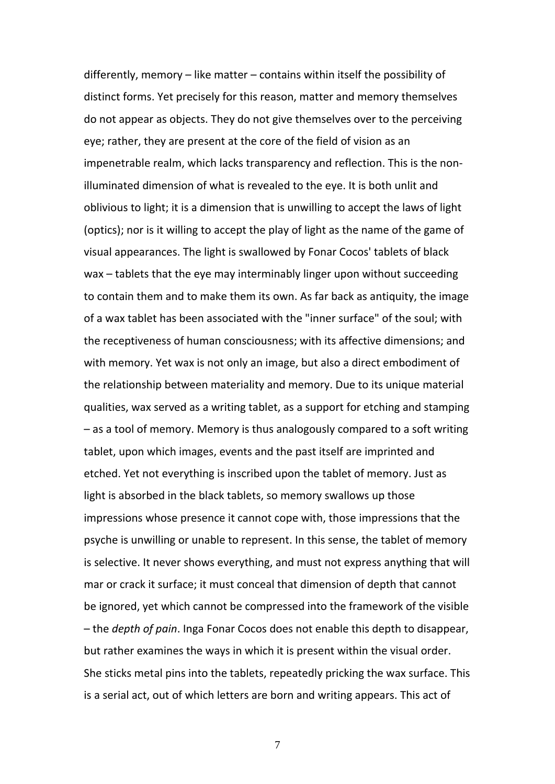differently, memory – like matter – contains within itself the possibility of distinct forms. Yet precisely for this reason, matter and memory themselves do not appear as objects. They do not give themselves over to the perceiving eye; rather, they are present at the core of the field of vision as an impenetrable realm, which lacks transparency and reflection. This is the nonilluminated dimension of what is revealed to the eye. It is both unlit and oblivious to light; it is a dimension that is unwilling to accept the laws of light (optics); nor is it willing to accept the play of light as the name of the game of visual appearances. The light is swallowed by Fonar Cocos' tablets of black wax – tablets that the eye may interminably linger upon without succeeding to contain them and to make them its own. As far back as antiquity, the image of a wax tablet has been associated with the "inner surface" of the soul; with the receptiveness of human consciousness; with its affective dimensions; and with memory. Yet wax is not only an image, but also a direct embodiment of the relationship between materiality and memory. Due to its unique material qualities, wax served as a writing tablet, as a support for etching and stamping – as a tool of memory. Memory is thus analogously compared to a soft writing tablet, upon which images, events and the past itself are imprinted and etched. Yet not everything is inscribed upon the tablet of memory. Just as light is absorbed in the black tablets, so memory swallows up those impressions whose presence it cannot cope with, those impressions that the psyche is unwilling or unable to represent. In this sense, the tablet of memory is selective. It never shows everything, and must not express anything that will mar or crack it surface; it must conceal that dimension of depth that cannot be ignored, yet which cannot be compressed into the framework of the visible – the *depth of pain*. Inga Fonar Cocos does not enable this depth to disappear, but rather examines the ways in which it is present within the visual order. She sticks metal pins into the tablets, repeatedly pricking the wax surface. This is a serial act, out of which letters are born and writing appears. This act of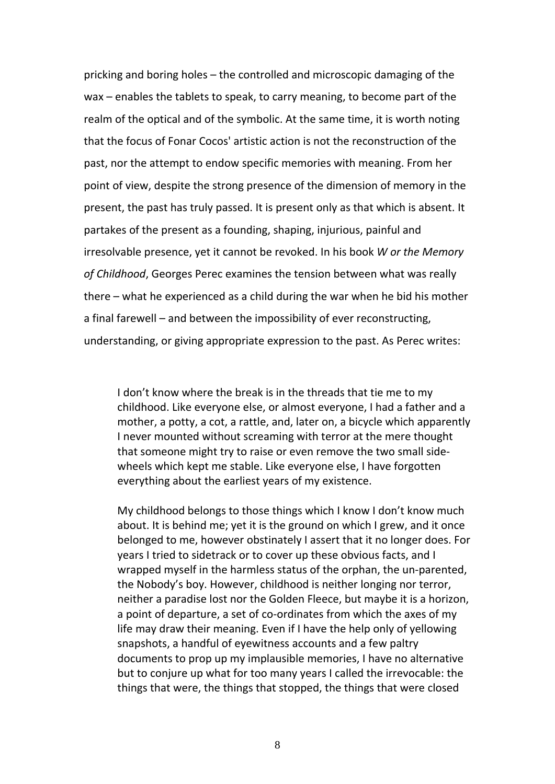pricking and boring holes – the controlled and microscopic damaging of the wax – enables the tablets to speak, to carry meaning, to become part of the realm of the optical and of the symbolic. At the same time, it is worth noting that the focus of Fonar Cocos' artistic action is not the reconstruction of the past, nor the attempt to endow specific memories with meaning. From her point of view, despite the strong presence of the dimension of memory in the present, the past has truly passed. It is present only as that which is absent. It partakes of the present as a founding, shaping, injurious, painful and irresolvable presence, yet it cannot be revoked. In his book *W or the Memory of Childhood*, Georges Perec examines the tension between what was really there – what he experienced as a child during the war when he bid his mother a final farewell – and between the impossibility of ever reconstructing, understanding, or giving appropriate expression to the past. As Perec writes:

I don't know where the break is in the threads that tie me to my childhood. Like everyone else, or almost everyone, I had a father and a mother, a potty, a cot, a rattle, and, later on, a bicycle which apparently I never mounted without screaming with terror at the mere thought that someone might try to raise or even remove the two small sidewheels which kept me stable. Like everyone else, I have forgotten everything about the earliest years of my existence.

My childhood belongs to those things which I know I don't know much about. It is behind me; yet it is the ground on which I grew, and it once belonged to me, however obstinately I assert that it no longer does. For years I tried to sidetrack or to cover up these obvious facts, and I wrapped myself in the harmless status of the orphan, the un-parented, the Nobody's boy. However, childhood is neither longing nor terror, neither a paradise lost nor the Golden Fleece, but maybe it is a horizon, a point of departure, a set of co-ordinates from which the axes of my life may draw their meaning. Even if I have the help only of yellowing snapshots, a handful of eyewitness accounts and a few paltry documents to prop up my implausible memories, I have no alternative but to conjure up what for too many years I called the irrevocable: the things that were, the things that stopped, the things that were closed